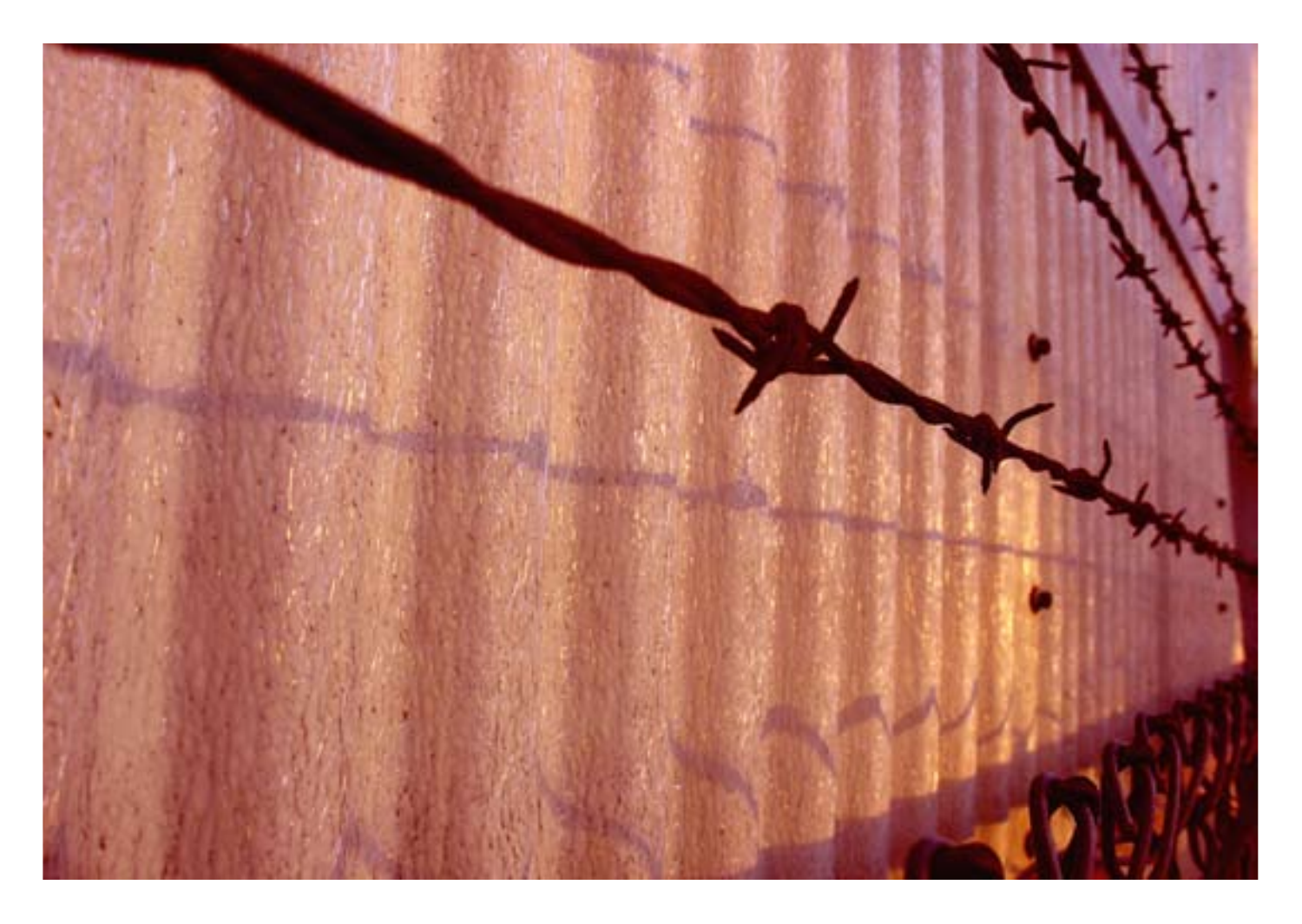